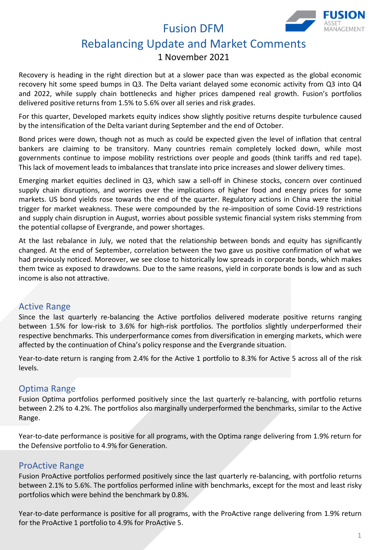Fusion DFM



# Rebalancing Update and Market Comments

# 1 November 2021

Recovery is heading in the right direction but at a slower pace than was expected as the global economic recovery hit some speed bumps in Q3. The Delta variant delayed some economic activity from Q3 into Q4 and 2022, while supply chain bottlenecks and higher prices dampened real growth. Fusion's portfolios delivered positive returns from 1.5% to 5.6% over all series and risk grades.

For this quarter, Developed markets equity indices show slightly positive returns despite turbulence caused by the intensification of the Delta variant during September and the end of October.

Bond prices were down, though not as much as could be expected given the level of inflation that central bankers are claiming to be transitory. Many countries remain completely locked down, while most governments continue to impose mobility restrictions over people and goods (think tariffs and red tape). This lack of movement leads to imbalances that translate into price increases and slower delivery times.

Emerging market equities declined in Q3, which saw a sell-off in Chinese stocks, concern over continued supply chain disruptions, and worries over the implications of higher food and energy prices for some markets. US bond yields rose towards the end of the quarter. Regulatory actions in China were the initial trigger for market weakness. These were compounded by the re-imposition of some Covid-19 restrictions and supply chain disruption in August, worries about possible systemic financial system risks stemming from the potential collapse of Evergrande, and power shortages.

At the last rebalance in July, we noted that the relationship between bonds and equity has significantly changed. At the end of September, correlation between the two gave us positive confirmation of what we had previously noticed. Moreover, we see close to historically low spreads in corporate bonds, which makes them twice as exposed to drawdowns. Due to the same reasons, yield in corporate bonds is low and as such income is also not attractive.

### Active Range

Since the last quarterly re-balancing the Active portfolios delivered moderate positive returns ranging between 1.5% for low-risk to 3.6% for high-risk portfolios. The portfolios slightly underperformed their respective benchmarks. This underperformance comes from diversification in emerging markets, which were affected by the continuation of China's policy response and the Evergrande situation.

Year-to-date return is ranging from 2.4% for the Active 1 portfolio to 8.3% for Active 5 across all of the risk levels.

## Optima Range

Fusion Optima portfolios performed positively since the last quarterly re-balancing, with portfolio returns between 2.2% to 4.2%. The portfolios also marginally underperformed the benchmarks, similar to the Active Range.

Year-to-date performance is positive for all programs, with the Optima range delivering from 1.9% return for the Defensive portfolio to 4.9% for Generation.

### ProActive Range

Fusion ProActive portfolios performed positively since the last quarterly re-balancing, with portfolio returns between 2.1% to 5.6%. The portfolios performed inline with benchmarks, except for the most and least risky portfolios which were behind the benchmark by 0.8%.

Year-to-date performance is positive for all programs, with the ProActive range delivering from 1.9% return for the ProActive 1 portfolio to 4.9% for ProActive 5.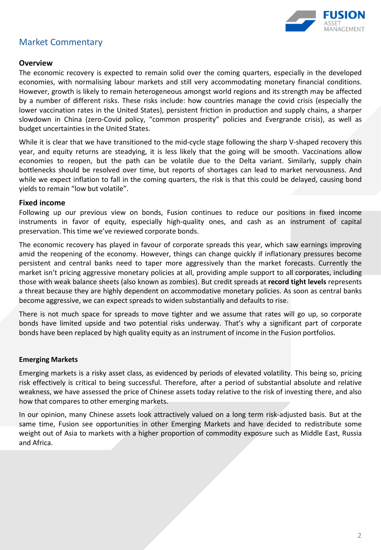

# Market Commentary

#### **Overview**

The economic recovery is expected to remain solid over the coming quarters, especially in the developed economies, with normalising labour markets and still very accommodating monetary financial conditions. However, growth is likely to remain heterogeneous amongst world regions and its strength may be affected by a number of different risks. These risks include: how countries manage the covid crisis (especially the lower vaccination rates in the United States), persistent friction in production and supply chains, a sharper slowdown in China (zero-Covid policy, "common prosperity" policies and Evergrande crisis), as well as budget uncertainties in the United States.

While it is clear that we have transitioned to the mid-cycle stage following the sharp V-shaped recovery this year, and equity returns are steadying, it is less likely that the going will be smooth. Vaccinations allow economies to reopen, but the path can be volatile due to the Delta variant. Similarly, supply chain bottlenecks should be resolved over time, but reports of shortages can lead to market nervousness. And while we expect inflation to fall in the coming quarters, the risk is that this could be delayed, causing bond yields to remain "low but volatile".

#### **Fixed income**

Following up our previous view on bonds, Fusion continues to reduce our positions in fixed income instruments in favor of equity, especially high-quality ones, and cash as an instrument of capital preservation. This time we've reviewed corporate bonds.

The economic recovery has played in favour of corporate spreads this year, which saw earnings improving amid the reopening of the economy. However, things can change quickly if inflationary pressures become persistent and central banks need to taper more aggressively than the market forecasts. Currently the market isn't pricing aggressive monetary policies at all, providing ample support to all corporates, including those with weak balance sheets (also known as zombies). But credit spreads at **record tight levels** represents a threat because they are highly dependent on accommodative monetary policies. As soon as central banks become aggressive, we can expect spreads to widen substantially and defaults to rise.

There is not much space for spreads to move tighter and we assume that rates will go up, so corporate bonds have limited upside and two potential risks underway. That's why a significant part of corporate bonds have been replaced by high quality equity as an instrument of income in the Fusion portfolios.

#### **Emerging Markets**

Emerging markets is a risky asset class, as evidenced by periods of elevated volatility. This being so, pricing risk effectively is critical to being successful. Therefore, after a period of substantial absolute and relative weakness, we have assessed the price of Chinese assets today relative to the risk of investing there, and also how that compares to other emerging markets.

In our opinion, many Chinese assets look attractively valued on a long term risk-adjusted basis. But at the same time, Fusion see opportunities in other Emerging Markets and have decided to redistribute some weight out of Asia to markets with a higher proportion of commodity exposure such as Middle East, Russia and Africa.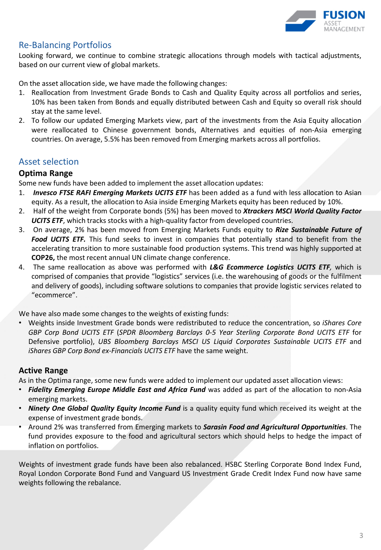

### Re-Balancing Portfolios

Looking forward, we continue to combine strategic allocations through models with tactical adjustments, based on our current view of global markets.

On the asset allocation side, we have made the following changes:

- 1. Reallocation from Investment Grade Bonds to Cash and Quality Equity across all portfolios and series, 10% has been taken from Bonds and equally distributed between Cash and Equity so overall risk should stay at the same level.
- 2. To follow our updated Emerging Markets view, part of the investments from the Asia Equity allocation were reallocated to Chinese government bonds, Alternatives and equities of non-Asia emerging countries. On average, 5.5% has been removed from Emerging markets across all portfolios.

### Asset selection

#### **Optima Range**

Some new funds have been added to implement the asset allocation updates:

- 1. *Invesco FTSE RAFI Emerging Markets UCITS ETF* has been added as a fund with less allocation to Asian equity. As a result, the allocation to Asia inside Emerging Markets equity has been reduced by 10%.
- 2. Half of the weight from Corporate bonds (5%) has been moved to *Xtrackers MSCI World Quality Factor UCITS ETF*, which tracks stocks with a high-quality factor from developed countries.
- 3. On average, 2% has been moved from Emerging Markets Funds equity to *Rize Sustainable Future of Food UCITS ETF.* This fund seeks to invest in companies that potentially stand to benefit from the accelerating transition to more sustainable food production systems. This trend was highly supported at **COP26,** the most recent annual UN climate change conference.
- 4. The same reallocation as above was performed with *L&G Ecommerce Logistics UCITS ETF,* which is comprised of companies that provide "logistics" services (i.e. the warehousing of goods or the fulfilment and delivery of goods), including software solutions to companies that provide logistic services related to "ecommerce".

We have also made some changes to the weights of existing funds:

• Weights inside Investment Grade bonds were redistributed to reduce the concentration, so *iShares Core GBP Corp Bond UCITS ETF* (*SPDR Bloomberg Barclays 0-5 Year Sterling Corporate Bond UCITS ETF* for Defensive portfolio), *UBS Bloomberg Barclays MSCI US Liquid Corporates Sustainable UCITS ETF* and *iShares GBP Corp Bond ex-Financials UCITS ETF* have the same weight.

#### **Active Range**

As in the Optima range, some new funds were added to implement our updated asset allocation views:

- *Fidelity Emerging Europe Middle East and Africa Fund* was added as part of the allocation to non-Asia emerging markets.
- *Ninety One Global Quality Equity Income Fund* is a quality equity fund which received its weight at the expense of investment grade bonds.
- Around 2% was transferred from Emerging markets to *Sarasin Food and Agricultural Opportunities*. The fund provides exposure to the food and agricultural sectors which should helps to hedge the impact of inflation on portfolios.

Weights of investment grade funds have been also rebalanced. HSBC Sterling Corporate Bond Index Fund, Royal London Corporate Bond Fund and Vanguard US Investment Grade Credit Index Fund now have same weights following the rebalance.